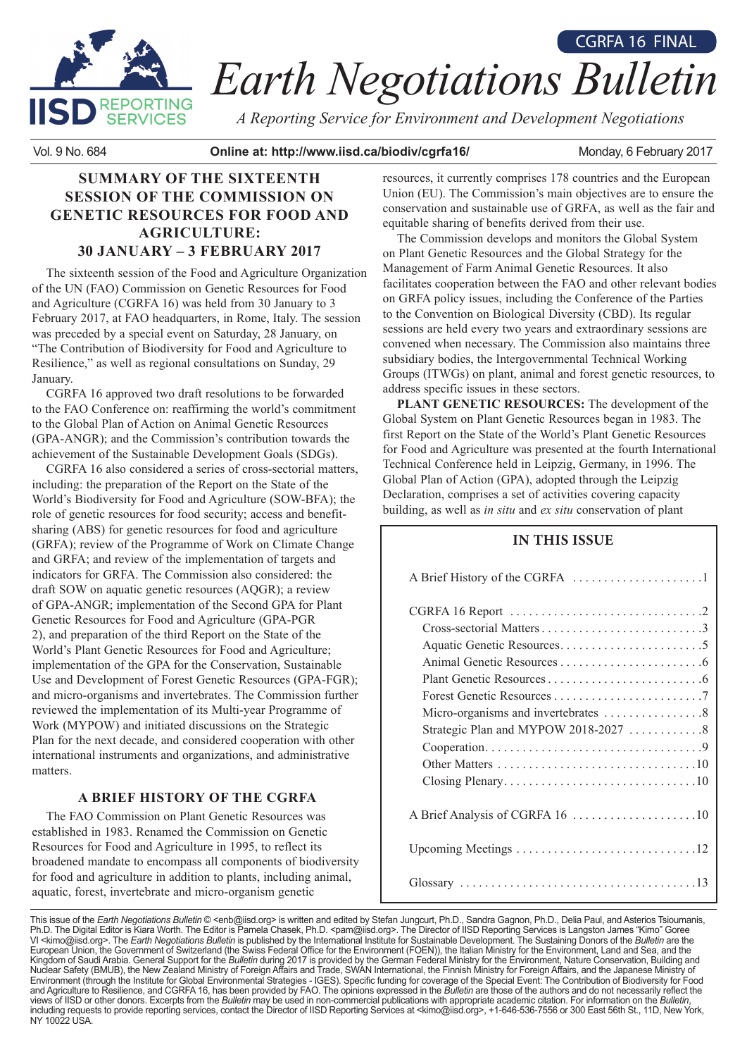

# *Earth Negotiations Bulletin* CGRFA 16 FINAL

*A Reporting Service for Environment and Development Negotiations*

Vol. 9 No. 684 **Online at: http://www.iisd.ca/biodiv/cgrfa16/** Monday, 6 February 2017

# **SUMMARY OF THE SIXTEENTH SESSION OF THE COMMISSION ON GENETIC RESOURCES FOR FOOD AND AGRICULTURE: 30 JANUARY – 3 FEBRUARY 2017**

The sixteenth session of the Food and Agriculture Organization of the UN (FAO) Commission on Genetic Resources for Food and Agriculture (CGRFA 16) was held from 30 January to 3 February 2017, at FAO headquarters, in Rome, Italy. The session was preceded by a special event on Saturday, 28 January, on "The Contribution of Biodiversity for Food and Agriculture to Resilience," as well as regional consultations on Sunday, 29 January.

CGRFA 16 approved two draft resolutions to be forwarded to the FAO Conference on: reaffirming the world's commitment to the Global Plan of Action on Animal Genetic Resources (GPA-ANGR); and the Commission's contribution towards the achievement of the Sustainable Development Goals (SDGs).

CGRFA 16 also considered a series of cross-sectorial matters, including: the preparation of the Report on the State of the World's Biodiversity for Food and Agriculture (SOW-BFA); the role of genetic resources for food security; access and benefitsharing (ABS) for genetic resources for food and agriculture (GRFA); review of the Programme of Work on Climate Change and GRFA; and review of the implementation of targets and indicators for GRFA. The Commission also considered: the draft SOW on aquatic genetic resources (AQGR); a review of GPA-ANGR; implementation of the Second GPA for Plant Genetic Resources for Food and Agriculture (GPA-PGR 2), and preparation of the third Report on the State of the World's Plant Genetic Resources for Food and Agriculture; implementation of the GPA for the Conservation, Sustainable Use and Development of Forest Genetic Resources (GPA-FGR); and micro-organisms and invertebrates. The Commission further reviewed the implementation of its Multi-year Programme of Work (MYPOW) and initiated discussions on the Strategic Plan for the next decade, and considered cooperation with other international instruments and organizations, and administrative matters.

# **A BRIEF HISTORY OF THE CGRFA**

The FAO Commission on Plant Genetic Resources was established in 1983. Renamed the Commission on Genetic Resources for Food and Agriculture in 1995, to reflect its broadened mandate to encompass all components of biodiversity for food and agriculture in addition to plants, including animal, aquatic, forest, invertebrate and micro-organism genetic

resources, it currently comprises 178 countries and the European Union (EU). The Commission's main objectives are to ensure the conservation and sustainable use of GRFA, as well as the fair and equitable sharing of benefits derived from their use.

The Commission develops and monitors the Global System on Plant Genetic Resources and the Global Strategy for the Management of Farm Animal Genetic Resources. It also facilitates cooperation between the FAO and other relevant bodies on GRFA policy issues, including the Conference of the Parties to the Convention on Biological Diversity (CBD). Its regular sessions are held every two years and extraordinary sessions are convened when necessary. The Commission also maintains three subsidiary bodies, the Intergovernmental Technical Working Groups (ITWGs) on plant, animal and forest genetic resources, to address specific issues in these sectors.

**PLANT GENETIC RESOURCES:** The development of the Global System on Plant Genetic Resources began in 1983. The first Report on the State of the World's Plant Genetic Resources for Food and Agriculture was presented at the fourth International Technical Conference held in Leipzig, Germany, in 1996. The Global Plan of Action (GPA), adopted through the Leipzig Declaration, comprises a set of activities covering capacity building, as well as *in situ* and *ex situ* conservation of plant

# **IN THIS ISSUE**

A Brief History of the CGRFA . 1

| A Brief Analysis of CGRFA 16 10 |
|---------------------------------|
|                                 |
|                                 |

This issue of the *Earth Negotiations Bulletin* © <enb@iisd.org> is written and edited by Stefan Jungcurt, Ph.D., Sandra Gagnon, Ph.D., Delia Paul, and Asterios Tsioumanis, Ph.D. The Digital Editor is Kiara Worth. The Editor is Pamela Chasek, Ph.D. <pam@iisd.org>. The Director of IISD Reporting Services is Langston James "Kimo" Goree Ⅵ <kimo@iisd.org>. The *Earth Negotiations Bulletin* is published by the International Institute for Sustainable Development. The Sustaining Donors of the *Bulletin* are the<br>European Union, the Government of Switzerland ( Kingdom of Saudi Arabia. General Support for the *Bulletin* during 2017 is provided by the German Federal Ministry for the Environment, Nature Conservation, Building and Nuclear Safety (BMUB), the New Zealand Ministry of Foreign Affairs and Trade, SWAN International, the Finnish Ministry for Foreign Affairs, and the Japanese Ministry of Environment (through the Institute for Global Environmental Strategies - IGES). Specific funding for coverage of the Special Event: The Contribution of Biodiversity for Food and Agriculture to Resilience, and CGRFA 16, has been provided by FAO. The opinions expressed in the *Bulletin* are those of the authors and do not necessarily reflect the views of IISD or other donors. Excerpts from the *Bulletin* may be used in non-commercial publications with appropriate academic citation. For information on the *Bulletin,*<br>including requests to provide reporting service NY 10022 USA.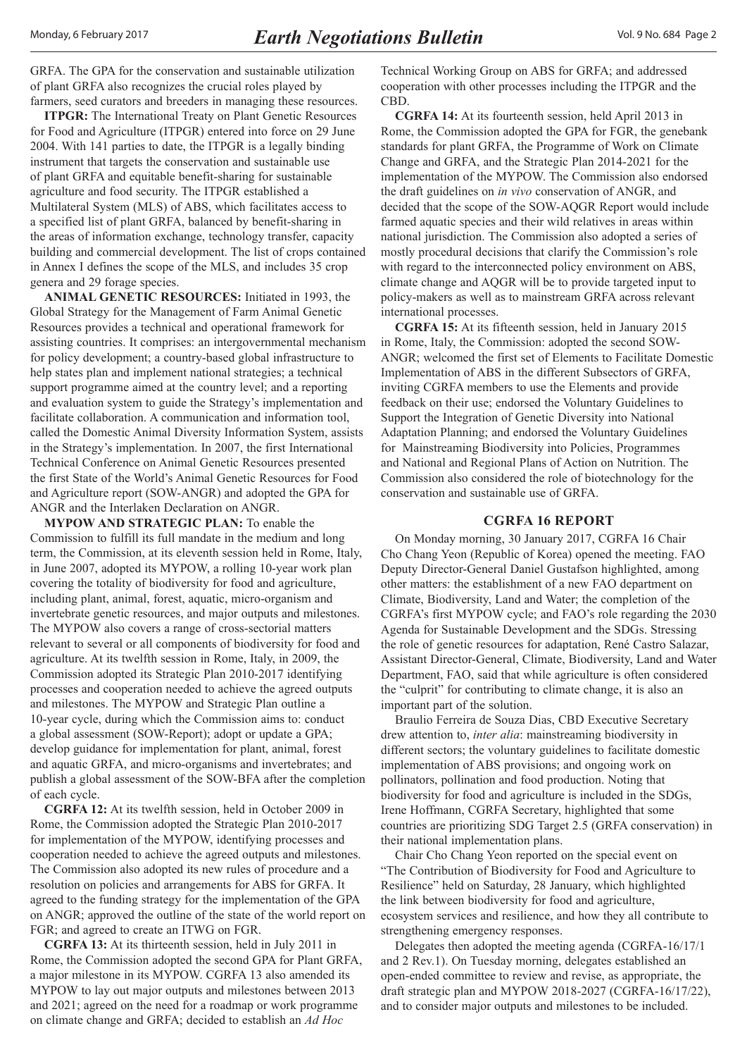<span id="page-1-0"></span>GRFA. The GPA for the conservation and sustainable utilization of plant GRFA also recognizes the crucial roles played by farmers, seed curators and breeders in managing these resources.

**ITPGR:** The International Treaty on Plant Genetic Resources for Food and Agriculture (ITPGR) entered into force on 29 June 2004. With 141 parties to date, the ITPGR is a legally binding instrument that targets the conservation and sustainable use of plant GRFA and equitable benefit-sharing for sustainable agriculture and food security. The ITPGR established a Multilateral System (MLS) of ABS, which facilitates access to a specified list of plant GRFA, balanced by benefit-sharing in the areas of information exchange, technology transfer, capacity building and commercial development. The list of crops contained in Annex I defines the scope of the MLS, and includes 35 crop genera and 29 forage species.

**ANIMAL GENETIC RESOURCES:** Initiated in 1993, the Global Strategy for the Management of Farm Animal Genetic Resources provides a technical and operational framework for assisting countries. It comprises: an intergovernmental mechanism for policy development; a country-based global infrastructure to help states plan and implement national strategies; a technical support programme aimed at the country level; and a reporting and evaluation system to guide the Strategy's implementation and facilitate collaboration. A communication and information tool, called the Domestic Animal Diversity Information System, assists in the Strategy's implementation. In 2007, the first International Technical Conference on Animal Genetic Resources presented the first State of the World's Animal Genetic Resources for Food and Agriculture report (SOW-ANGR) and adopted the GPA for ANGR and the Interlaken Declaration on ANGR.

**MYPOW AND STRATEGIC PLAN:** To enable the Commission to fulfill its full mandate in the medium and long term, the Commission, at its eleventh session held in Rome, Italy, in June 2007, adopted its MYPOW, a rolling 10-year work plan covering the totality of biodiversity for food and agriculture, including plant, animal, forest, aquatic, micro-organism and invertebrate genetic resources, and major outputs and milestones. The MYPOW also covers a range of cross-sectorial matters relevant to several or all components of biodiversity for food and agriculture. At its twelfth session in Rome, Italy, in 2009, the Commission adopted its Strategic Plan 2010-2017 identifying processes and cooperation needed to achieve the agreed outputs and milestones. The MYPOW and Strategic Plan outline a 10-year cycle, during which the Commission aims to: conduct a global assessment (SOW-Report); adopt or update a GPA; develop guidance for implementation for plant, animal, forest and aquatic GRFA, and micro-organisms and invertebrates; and publish a global assessment of the SOW-BFA after the completion of each cycle.

**CGRFA 12:** At its twelfth session, held in October 2009 in Rome, the Commission adopted the Strategic Plan 2010-2017 for implementation of the MYPOW, identifying processes and cooperation needed to achieve the agreed outputs and milestones. The Commission also adopted its new rules of procedure and a resolution on policies and arrangements for ABS for GRFA. It agreed to the funding strategy for the implementation of the GPA on ANGR; approved the outline of the state of the world report on FGR; and agreed to create an ITWG on FGR.

**CGRFA 13:** At its thirteenth session, held in July 2011 in Rome, the Commission adopted the second GPA for Plant GRFA, a major milestone in its MYPOW. CGRFA 13 also amended its MYPOW to lay out major outputs and milestones between 2013 and 2021; agreed on the need for a roadmap or work programme on climate change and GRFA; decided to establish an *Ad Hoc*

Technical Working Group on ABS for GRFA; and addressed cooperation with other processes including the ITPGR and the CBD.

**CGRFA 14:** At its fourteenth session, held April 2013 in Rome, the Commission adopted the GPA for FGR, the genebank standards for plant GRFA, the Programme of Work on Climate Change and GRFA, and the Strategic Plan 2014-2021 for the implementation of the MYPOW. The Commission also endorsed the draft guidelines on *in vivo* conservation of ANGR, and decided that the scope of the SOW-AQGR Report would include farmed aquatic species and their wild relatives in areas within national jurisdiction. The Commission also adopted a series of mostly procedural decisions that clarify the Commission's role with regard to the interconnected policy environment on ABS, climate change and AQGR will be to provide targeted input to policy-makers as well as to mainstream GRFA across relevant international processes.

**CGRFA 15:** At its fifteenth session, held in January 2015 in Rome, Italy, the Commission: adopted the second SOW-ANGR; welcomed the first set of Elements to Facilitate Domestic Implementation of ABS in the different Subsectors of GRFA, inviting CGRFA members to use the Elements and provide feedback on their use; endorsed the Voluntary Guidelines to Support the Integration of Genetic Diversity into National Adaptation Planning; and endorsed the Voluntary Guidelines for Mainstreaming Biodiversity into Policies, Programmes and National and Regional Plans of Action on Nutrition. The Commission also considered the role of biotechnology for the conservation and sustainable use of GRFA.

#### **CGRFA 16 REPORT**

On Monday morning, 30 January 2017, CGRFA 16 Chair Cho Chang Yeon (Republic of Korea) opened the meeting. FAO Deputy Director-General Daniel Gustafson highlighted, among other matters: the establishment of a new FAO department on Climate, Biodiversity, Land and Water; the completion of the CGRFA's first MYPOW cycle; and FAO's role regarding the 2030 Agenda for Sustainable Development and the SDGs. Stressing the role of genetic resources for adaptation, René Castro Salazar, Assistant Director-General, Climate, Biodiversity, Land and Water Department, FAO, said that while agriculture is often considered the "culprit" for contributing to climate change, it is also an important part of the solution.

Braulio Ferreira de Souza Dias, CBD Executive Secretary drew attention to, *inter alia*: mainstreaming biodiversity in different sectors; the voluntary guidelines to facilitate domestic implementation of ABS provisions; and ongoing work on pollinators, pollination and food production. Noting that biodiversity for food and agriculture is included in the SDGs, Irene Hoffmann, CGRFA Secretary, highlighted that some countries are prioritizing SDG Target 2.5 (GRFA conservation) in their national implementation plans.

Chair Cho Chang Yeon reported on the special event on "The Contribution of Biodiversity for Food and Agriculture to Resilience" held on Saturday, 28 January, which highlighted the link between biodiversity for food and agriculture, ecosystem services and resilience, and how they all contribute to strengthening emergency responses.

Delegates then adopted the meeting agenda (CGRFA-16/17/1 and 2 Rev.1). On Tuesday morning, delegates established an open-ended committee to review and revise, as appropriate, the draft strategic plan and MYPOW 2018-2027 (CGRFA-16/17/22), and to consider major outputs and milestones to be included.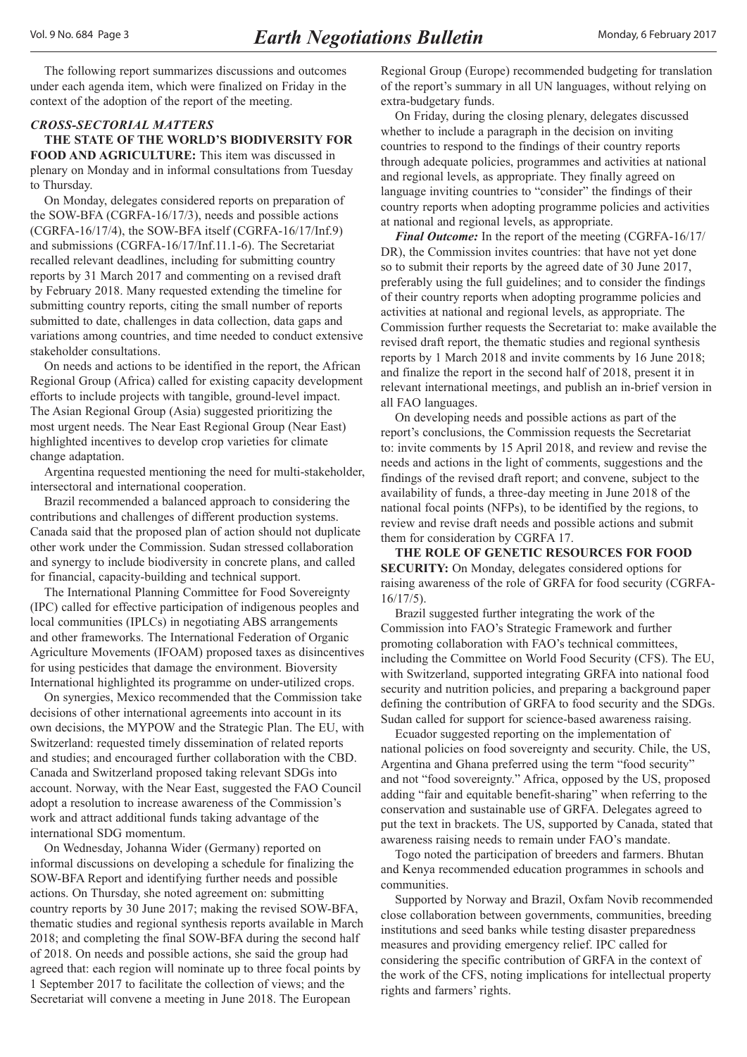<span id="page-2-0"></span>The following report summarizes discussions and outcomes under each agenda item, which were finalized on Friday in the context of the adoption of the report of the meeting.

## *CROSS-SECTORIAL MATTERS*

**THE STATE OF THE WORLD'S BIODIVERSITY FOR FOOD AND AGRICULTURE:** This item was discussed in plenary on Monday and in informal consultations from Tuesday to Thursday.

On Monday, delegates considered reports on preparation of the SOW-BFA (CGRFA-16/17/3), needs and possible actions (CGRFA-16/17/4), the SOW-BFA itself (CGRFA-16/17/Inf.9) and submissions (CGRFA-16/17/Inf.11.1-6). The Secretariat recalled relevant deadlines, including for submitting country reports by 31 March 2017 and commenting on a revised draft by February 2018. Many requested extending the timeline for submitting country reports, citing the small number of reports submitted to date, challenges in data collection, data gaps and variations among countries, and time needed to conduct extensive stakeholder consultations.

On needs and actions to be identified in the report, the African Regional Group (Africa) called for existing capacity development efforts to include projects with tangible, ground-level impact. The Asian Regional Group (Asia) suggested prioritizing the most urgent needs. The Near East Regional Group (Near East) highlighted incentives to develop crop varieties for climate change adaptation.

Argentina requested mentioning the need for multi-stakeholder, intersectoral and international cooperation.

Brazil recommended a balanced approach to considering the contributions and challenges of different production systems. Canada said that the proposed plan of action should not duplicate other work under the Commission. Sudan stressed collaboration and synergy to include biodiversity in concrete plans, and called for financial, capacity-building and technical support.

The International Planning Committee for Food Sovereignty (IPC) called for effective participation of indigenous peoples and local communities (IPLCs) in negotiating ABS arrangements and other frameworks. The International Federation of Organic Agriculture Movements (IFOAM) proposed taxes as disincentives for using pesticides that damage the environment. Bioversity International highlighted its programme on under-utilized crops.

On synergies, Mexico recommended that the Commission take decisions of other international agreements into account in its own decisions, the MYPOW and the Strategic Plan. The EU, with Switzerland: requested timely dissemination of related reports and studies; and encouraged further collaboration with the CBD. Canada and Switzerland proposed taking relevant SDGs into account. Norway, with the Near East, suggested the FAO Council adopt a resolution to increase awareness of the Commission's work and attract additional funds taking advantage of the international SDG momentum.

On Wednesday, Johanna Wider (Germany) reported on informal discussions on developing a schedule for finalizing the SOW-BFA Report and identifying further needs and possible actions. On Thursday, she noted agreement on: submitting country reports by 30 June 2017; making the revised SOW-BFA, thematic studies and regional synthesis reports available in March 2018; and completing the final SOW-BFA during the second half of 2018. On needs and possible actions, she said the group had agreed that: each region will nominate up to three focal points by 1 September 2017 to facilitate the collection of views; and the Secretariat will convene a meeting in June 2018. The European

Regional Group (Europe) recommended budgeting for translation of the report's summary in all UN languages, without relying on extra-budgetary funds.

On Friday, during the closing plenary, delegates discussed whether to include a paragraph in the decision on inviting countries to respond to the findings of their country reports through adequate policies, programmes and activities at national and regional levels, as appropriate. They finally agreed on language inviting countries to "consider" the findings of their country reports when adopting programme policies and activities at national and regional levels, as appropriate.

*Final Outcome:* In the report of the meeting (CGRFA-16/17/ DR), the Commission invites countries: that have not yet done so to submit their reports by the agreed date of 30 June 2017, preferably using the full guidelines; and to consider the findings of their country reports when adopting programme policies and activities at national and regional levels, as appropriate. The Commission further requests the Secretariat to: make available the revised draft report, the thematic studies and regional synthesis reports by 1 March 2018 and invite comments by 16 June 2018; and finalize the report in the second half of 2018, present it in relevant international meetings, and publish an in-brief version in all FAO languages.

On developing needs and possible actions as part of the report's conclusions, the Commission requests the Secretariat to: invite comments by 15 April 2018, and review and revise the needs and actions in the light of comments, suggestions and the findings of the revised draft report; and convene, subject to the availability of funds, a three-day meeting in June 2018 of the national focal points (NFPs), to be identified by the regions, to review and revise draft needs and possible actions and submit them for consideration by CGRFA 17.

**THE ROLE OF GENETIC RESOURCES FOR FOOD SECURITY:** On Monday, delegates considered options for raising awareness of the role of GRFA for food security (CGRFA-16/17/5).

Brazil suggested further integrating the work of the Commission into FAO's Strategic Framework and further promoting collaboration with FAO's technical committees, including the Committee on World Food Security (CFS). The EU, with Switzerland, supported integrating GRFA into national food security and nutrition policies, and preparing a background paper defining the contribution of GRFA to food security and the SDGs. Sudan called for support for science-based awareness raising.

Ecuador suggested reporting on the implementation of national policies on food sovereignty and security. Chile, the US, Argentina and Ghana preferred using the term "food security" and not "food sovereignty." Africa, opposed by the US, proposed adding "fair and equitable benefit-sharing" when referring to the conservation and sustainable use of GRFA. Delegates agreed to put the text in brackets. The US, supported by Canada, stated that awareness raising needs to remain under FAO's mandate.

Togo noted the participation of breeders and farmers. Bhutan and Kenya recommended education programmes in schools and communities.

Supported by Norway and Brazil, Oxfam Novib recommended close collaboration between governments, communities, breeding institutions and seed banks while testing disaster preparedness measures and providing emergency relief. IPC called for considering the specific contribution of GRFA in the context of the work of the CFS, noting implications for intellectual property rights and farmers' rights.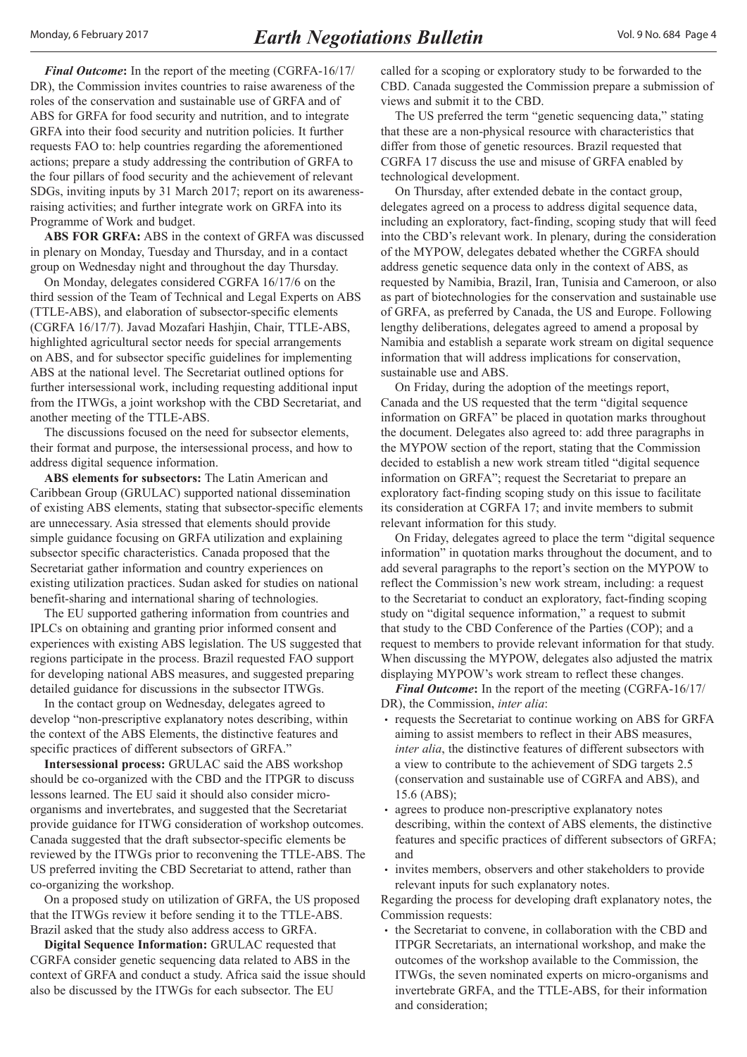*Final Outcome***:** In the report of the meeting (CGRFA-16/17/ DR), the Commission invites countries to raise awareness of the roles of the conservation and sustainable use of GRFA and of ABS for GRFA for food security and nutrition, and to integrate GRFA into their food security and nutrition policies. It further requests FAO to: help countries regarding the aforementioned actions; prepare a study addressing the contribution of GRFA to the four pillars of food security and the achievement of relevant SDGs, inviting inputs by 31 March 2017; report on its awarenessraising activities; and further integrate work on GRFA into its Programme of Work and budget.

**ABS FOR GRFA:** ABS in the context of GRFA was discussed in plenary on Monday, Tuesday and Thursday, and in a contact group on Wednesday night and throughout the day Thursday.

On Monday, delegates considered CGRFA 16/17/6 on the third session of the Team of Technical and Legal Experts on ABS (TTLE-ABS), and elaboration of subsector-specific elements (CGRFA 16/17/7). Javad Mozafari Hashjin, Chair, TTLE-ABS, highlighted agricultural sector needs for special arrangements on ABS, and for subsector specific guidelines for implementing ABS at the national level. The Secretariat outlined options for further intersessional work, including requesting additional input from the ITWGs, a joint workshop with the CBD Secretariat, and another meeting of the TTLE-ABS.

The discussions focused on the need for subsector elements, their format and purpose, the intersessional process, and how to address digital sequence information.

**ABS elements for subsectors:** The Latin American and Caribbean Group (GRULAC) supported national dissemination of existing ABS elements, stating that subsector-specific elements are unnecessary. Asia stressed that elements should provide simple guidance focusing on GRFA utilization and explaining subsector specific characteristics. Canada proposed that the Secretariat gather information and country experiences on existing utilization practices. Sudan asked for studies on national benefit-sharing and international sharing of technologies.

The EU supported gathering information from countries and IPLCs on obtaining and granting prior informed consent and experiences with existing ABS legislation. The US suggested that regions participate in the process. Brazil requested FAO support for developing national ABS measures, and suggested preparing detailed guidance for discussions in the subsector ITWGs.

In the contact group on Wednesday, delegates agreed to develop "non-prescriptive explanatory notes describing, within the context of the ABS Elements, the distinctive features and specific practices of different subsectors of GRFA."

**Intersessional process:** GRULAC said the ABS workshop should be co-organized with the CBD and the ITPGR to discuss lessons learned. The EU said it should also consider microorganisms and invertebrates, and suggested that the Secretariat provide guidance for ITWG consideration of workshop outcomes. Canada suggested that the draft subsector-specific elements be reviewed by the ITWGs prior to reconvening the TTLE-ABS. The US preferred inviting the CBD Secretariat to attend, rather than co-organizing the workshop.

On a proposed study on utilization of GRFA, the US proposed that the ITWGs review it before sending it to the TTLE-ABS. Brazil asked that the study also address access to GRFA.

**Digital Sequence Information:** GRULAC requested that CGRFA consider genetic sequencing data related to ABS in the context of GRFA and conduct a study. Africa said the issue should also be discussed by the ITWGs for each subsector. The EU

called for a scoping or exploratory study to be forwarded to the CBD. Canada suggested the Commission prepare a submission of views and submit it to the CBD.

The US preferred the term "genetic sequencing data," stating that these are a non-physical resource with characteristics that differ from those of genetic resources. Brazil requested that CGRFA 17 discuss the use and misuse of GRFA enabled by technological development.

On Thursday, after extended debate in the contact group, delegates agreed on a process to address digital sequence data, including an exploratory, fact-finding, scoping study that will feed into the CBD's relevant work. In plenary, during the consideration of the MYPOW, delegates debated whether the CGRFA should address genetic sequence data only in the context of ABS, as requested by Namibia, Brazil, Iran, Tunisia and Cameroon, or also as part of biotechnologies for the conservation and sustainable use of GRFA, as preferred by Canada, the US and Europe. Following lengthy deliberations, delegates agreed to amend a proposal by Namibia and establish a separate work stream on digital sequence information that will address implications for conservation, sustainable use and ABS.

On Friday, during the adoption of the meetings report, Canada and the US requested that the term "digital sequence information on GRFA" be placed in quotation marks throughout the document. Delegates also agreed to: add three paragraphs in the MYPOW section of the report, stating that the Commission decided to establish a new work stream titled "digital sequence information on GRFA"; request the Secretariat to prepare an exploratory fact-finding scoping study on this issue to facilitate its consideration at CGRFA 17; and invite members to submit relevant information for this study.

On Friday, delegates agreed to place the term "digital sequence information" in quotation marks throughout the document, and to add several paragraphs to the report's section on the MYPOW to reflect the Commission's new work stream, including: a request to the Secretariat to conduct an exploratory, fact-finding scoping study on "digital sequence information," a request to submit that study to the CBD Conference of the Parties (COP); and a request to members to provide relevant information for that study. When discussing the MYPOW, delegates also adjusted the matrix displaying MYPOW's work stream to reflect these changes.

*Final Outcome***:** In the report of the meeting (CGRFA-16/17/ DR), the Commission, *inter alia*:

- requests the Secretariat to continue working on ABS for GRFA aiming to assist members to reflect in their ABS measures, *inter alia*, the distinctive features of different subsectors with a view to contribute to the achievement of SDG targets 2.5 (conservation and sustainable use of CGRFA and ABS), and 15.6 (ABS);
- agrees to produce non-prescriptive explanatory notes describing, within the context of ABS elements, the distinctive features and specific practices of different subsectors of GRFA; and
- invites members, observers and other stakeholders to provide relevant inputs for such explanatory notes.

Regarding the process for developing draft explanatory notes, the Commission requests:

• the Secretariat to convene, in collaboration with the CBD and ITPGR Secretariats, an international workshop, and make the outcomes of the workshop available to the Commission, the ITWGs, the seven nominated experts on micro-organisms and invertebrate GRFA, and the TTLE-ABS, for their information and consideration;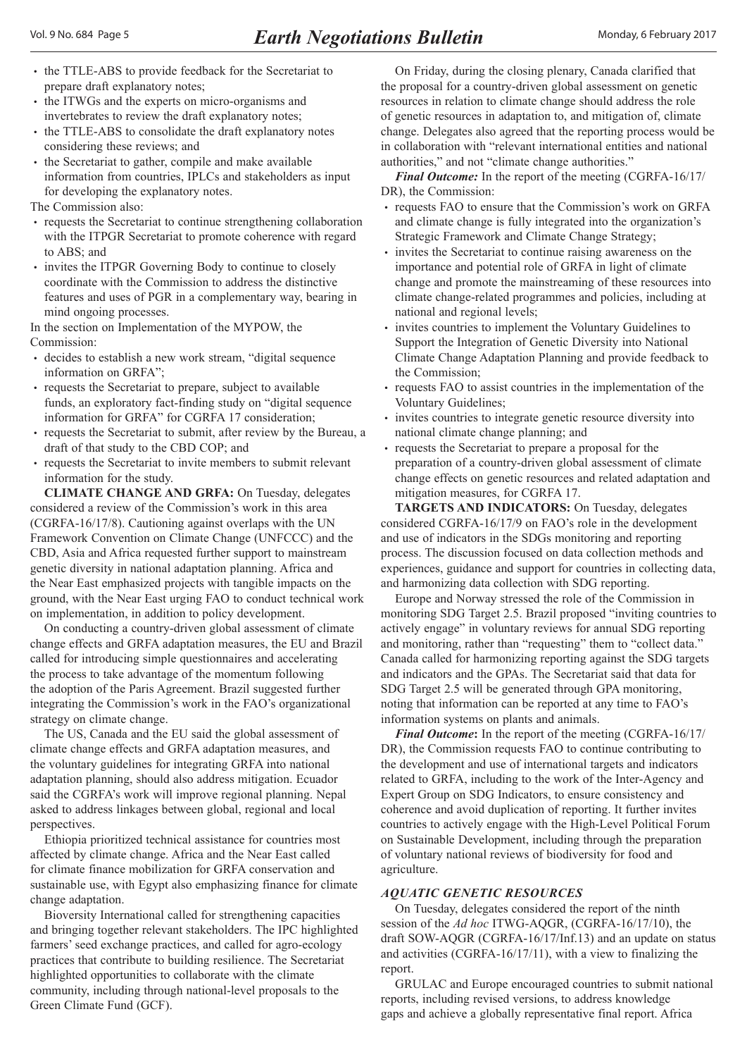- the TTLE-ABS to provide feedback for the Secretariat to prepare draft explanatory notes;
- the ITWGs and the experts on micro-organisms and invertebrates to review the draft explanatory notes;
- the TTLE-ABS to consolidate the draft explanatory notes considering these reviews; and
- the Secretariat to gather, compile and make available information from countries, IPLCs and stakeholders as input for developing the explanatory notes.

The Commission also:

- requests the Secretariat to continue strengthening collaboration with the ITPGR Secretariat to promote coherence with regard to ABS; and
- invites the ITPGR Governing Body to continue to closely coordinate with the Commission to address the distinctive features and uses of PGR in a complementary way, bearing in mind ongoing processes.

In the section on Implementation of the MYPOW, the Commission:

- decides to establish a new work stream, "digital sequence information on GRFA";
- requests the Secretariat to prepare, subject to available funds, an exploratory fact-finding study on "digital sequence information for GRFA" for CGRFA 17 consideration;
- requests the Secretariat to submit, after review by the Bureau, a draft of that study to the CBD COP; and
- requests the Secretariat to invite members to submit relevant information for the study.

**CLIMATE CHANGE AND GRFA:** On Tuesday, delegates considered a review of the Commission's work in this area (CGRFA-16/17/8). Cautioning against overlaps with the UN Framework Convention on Climate Change (UNFCCC) and the CBD, Asia and Africa requested further support to mainstream genetic diversity in national adaptation planning. Africa and the Near East emphasized projects with tangible impacts on the ground, with the Near East urging FAO to conduct technical work on implementation, in addition to policy development.

On conducting a country-driven global assessment of climate change effects and GRFA adaptation measures, the EU and Brazil called for introducing simple questionnaires and accelerating the process to take advantage of the momentum following the adoption of the Paris Agreement. Brazil suggested further integrating the Commission's work in the FAO's organizational strategy on climate change.

The US, Canada and the EU said the global assessment of climate change effects and GRFA adaptation measures, and the voluntary guidelines for integrating GRFA into national adaptation planning, should also address mitigation. Ecuador said the CGRFA's work will improve regional planning. Nepal asked to address linkages between global, regional and local perspectives.

Ethiopia prioritized technical assistance for countries most affected by climate change. Africa and the Near East called for climate finance mobilization for GRFA conservation and sustainable use, with Egypt also emphasizing finance for climate change adaptation.

Bioversity International called for strengthening capacities and bringing together relevant stakeholders. The IPC highlighted farmers' seed exchange practices, and called for agro-ecology practices that contribute to building resilience. The Secretariat highlighted opportunities to collaborate with the climate community, including through national-level proposals to the Green Climate Fund (GCF).

On Friday, during the closing plenary, Canada clarified that the proposal for a country-driven global assessment on genetic resources in relation to climate change should address the role of genetic resources in adaptation to, and mitigation of, climate change. Delegates also agreed that the reporting process would be in collaboration with "relevant international entities and national authorities," and not "climate change authorities."

*Final Outcome:* In the report of the meeting (CGRFA-16/17/ DR), the Commission:

- requests FAO to ensure that the Commission's work on GRFA and climate change is fully integrated into the organization's Strategic Framework and Climate Change Strategy;
- invites the Secretariat to continue raising awareness on the importance and potential role of GRFA in light of climate change and promote the mainstreaming of these resources into climate change-related programmes and policies, including at national and regional levels;
- invites countries to implement the Voluntary Guidelines to Support the Integration of Genetic Diversity into National Climate Change Adaptation Planning and provide feedback to the Commission;
- requests FAO to assist countries in the implementation of the Voluntary Guidelines;
- invites countries to integrate genetic resource diversity into national climate change planning; and
- requests the Secretariat to prepare a proposal for the preparation of a country-driven global assessment of climate change effects on genetic resources and related adaptation and mitigation measures, for CGRFA 17.

**TARGETS AND INDICATORS:** On Tuesday, delegates considered CGRFA-16/17/9 on FAO's role in the development and use of indicators in the SDGs monitoring and reporting process. The discussion focused on data collection methods and experiences, guidance and support for countries in collecting data, and harmonizing data collection with SDG reporting.

Europe and Norway stressed the role of the Commission in monitoring SDG Target 2.5. Brazil proposed "inviting countries to actively engage" in voluntary reviews for annual SDG reporting and monitoring, rather than "requesting" them to "collect data." Canada called for harmonizing reporting against the SDG targets and indicators and the GPAs. The Secretariat said that data for SDG Target 2.5 will be generated through GPA monitoring, noting that information can be reported at any time to FAO's information systems on plants and animals.

*Final Outcome***:** In the report of the meeting (CGRFA-16/17/ DR), the Commission requests FAO to continue contributing to the development and use of international targets and indicators related to GRFA, including to the work of the Inter-Agency and Expert Group on SDG Indicators, to ensure consistency and coherence and avoid duplication of reporting. It further invites countries to actively engage with the High-Level Political Forum on Sustainable Development, including through the preparation of voluntary national reviews of biodiversity for food and agriculture.

#### *AQUATIC GENETIC RESOURCES*

On Tuesday, delegates considered the report of the ninth session of the *Ad hoc* ITWG-AQGR, (CGRFA-16/17/10), the draft SOW-AQGR (CGRFA-16/17/Inf.13) and an update on status and activities (CGRFA-16/17/11), with a view to finalizing the report.

GRULAC and Europe encouraged countries to submit national reports, including revised versions, to address knowledge gaps and achieve a globally representative final report. Africa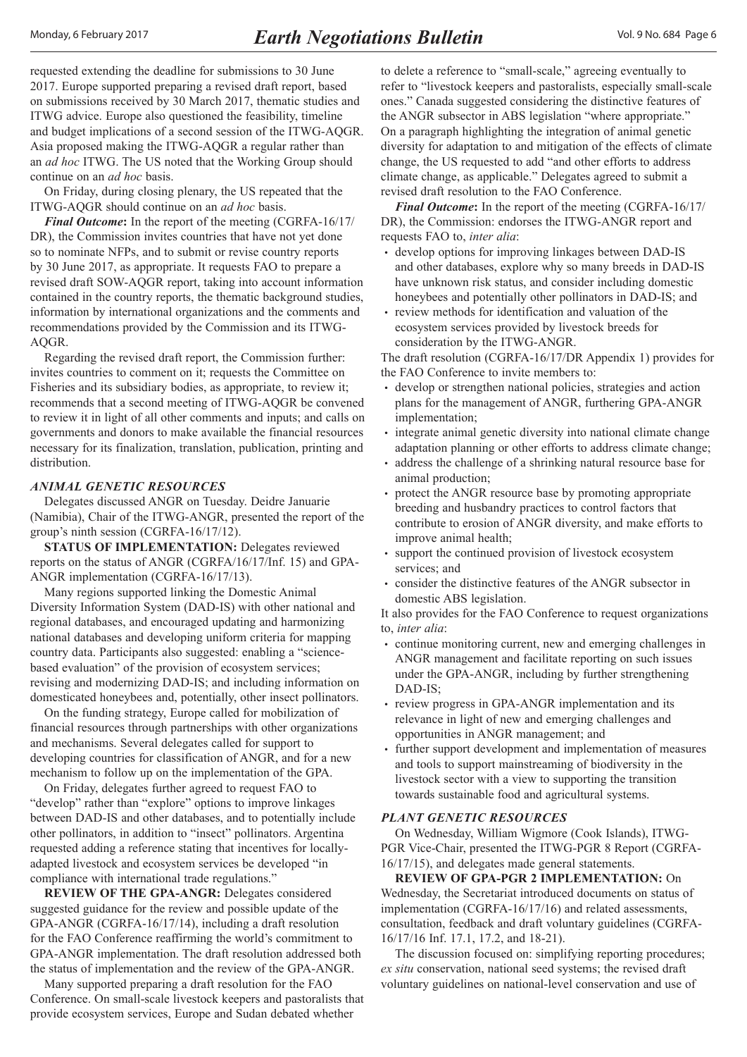<span id="page-5-0"></span>requested extending the deadline for submissions to 30 June 2017. Europe supported preparing a revised draft report, based on submissions received by 30 March 2017, thematic studies and ITWG advice. Europe also questioned the feasibility, timeline and budget implications of a second session of the ITWG-AQGR. Asia proposed making the ITWG-AQGR a regular rather than an *ad hoc* ITWG. The US noted that the Working Group should continue on an *ad hoc* basis.

On Friday, during closing plenary, the US repeated that the ITWG-AQGR should continue on an *ad hoc* basis.

*Final Outcome***:** In the report of the meeting (CGRFA-16/17/ DR), the Commission invites countries that have not yet done so to nominate NFPs, and to submit or revise country reports by 30 June 2017, as appropriate. It requests FAO to prepare a revised draft SOW-AQGR report, taking into account information contained in the country reports, the thematic background studies, information by international organizations and the comments and recommendations provided by the Commission and its ITWG-AQGR.

Regarding the revised draft report, the Commission further: invites countries to comment on it; requests the Committee on Fisheries and its subsidiary bodies, as appropriate, to review it; recommends that a second meeting of ITWG-AQGR be convened to review it in light of all other comments and inputs; and calls on governments and donors to make available the financial resources necessary for its finalization, translation, publication, printing and distribution.

#### *ANIMAL GENETIC RESOURCES*

Delegates discussed ANGR on Tuesday. Deidre Januarie (Namibia), Chair of the ITWG-ANGR, presented the report of the group's ninth session (CGRFA-16/17/12).

**STATUS OF IMPLEMENTATION: Delegates reviewed** reports on the status of ANGR (CGRFA/16/17/Inf. 15) and GPA-ANGR implementation (CGRFA-16/17/13).

Many regions supported linking the Domestic Animal Diversity Information System (DAD-IS) with other national and regional databases, and encouraged updating and harmonizing national databases and developing uniform criteria for mapping country data. Participants also suggested: enabling a "sciencebased evaluation" of the provision of ecosystem services; revising and modernizing DAD-IS; and including information on domesticated honeybees and, potentially, other insect pollinators.

On the funding strategy, Europe called for mobilization of financial resources through partnerships with other organizations and mechanisms. Several delegates called for support to developing countries for classification of ANGR, and for a new mechanism to follow up on the implementation of the GPA.

On Friday, delegates further agreed to request FAO to "develop" rather than "explore" options to improve linkages between DAD-IS and other databases, and to potentially include other pollinators, in addition to "insect" pollinators. Argentina requested adding a reference stating that incentives for locallyadapted livestock and ecosystem services be developed "in compliance with international trade regulations."

**REVIEW OF THE GPA-ANGR:** Delegates considered suggested guidance for the review and possible update of the GPA-ANGR (CGRFA-16/17/14), including a draft resolution for the FAO Conference reaffirming the world's commitment to GPA-ANGR implementation. The draft resolution addressed both the status of implementation and the review of the GPA-ANGR.

Many supported preparing a draft resolution for the FAO Conference. On small-scale livestock keepers and pastoralists that provide ecosystem services, Europe and Sudan debated whether

to delete a reference to "small-scale," agreeing eventually to refer to "livestock keepers and pastoralists, especially small-scale ones." Canada suggested considering the distinctive features of the ANGR subsector in ABS legislation "where appropriate." On a paragraph highlighting the integration of animal genetic diversity for adaptation to and mitigation of the effects of climate change, the US requested to add "and other efforts to address climate change, as applicable." Delegates agreed to submit a revised draft resolution to the FAO Conference.

*Final Outcome***:** In the report of the meeting (CGRFA-16/17/ DR), the Commission: endorses the ITWG-ANGR report and requests FAO to, *inter alia*:

- develop options for improving linkages between DAD-IS and other databases, explore why so many breeds in DAD-IS have unknown risk status, and consider including domestic honeybees and potentially other pollinators in DAD-IS; and
- review methods for identification and valuation of the ecosystem services provided by livestock breeds for consideration by the ITWG-ANGR.

The draft resolution (CGRFA-16/17/DR Appendix 1) provides for the FAO Conference to invite members to:

- develop or strengthen national policies, strategies and action plans for the management of ANGR, furthering GPA-ANGR implementation;
- integrate animal genetic diversity into national climate change adaptation planning or other efforts to address climate change;
- address the challenge of a shrinking natural resource base for animal production;
- protect the ANGR resource base by promoting appropriate breeding and husbandry practices to control factors that contribute to erosion of ANGR diversity, and make efforts to improve animal health;
- support the continued provision of livestock ecosystem services; and
- consider the distinctive features of the ANGR subsector in domestic ABS legislation.

It also provides for the FAO Conference to request organizations to, *inter alia*:

- continue monitoring current, new and emerging challenges in ANGR management and facilitate reporting on such issues under the GPA-ANGR, including by further strengthening DAD-IS;
- review progress in GPA-ANGR implementation and its relevance in light of new and emerging challenges and opportunities in ANGR management; and
- further support development and implementation of measures and tools to support mainstreaming of biodiversity in the livestock sector with a view to supporting the transition towards sustainable food and agricultural systems.

#### *PLANT GENETIC RESOURCES*

On Wednesday, William Wigmore (Cook Islands), ITWG-PGR Vice-Chair, presented the ITWG-PGR 8 Report (CGRFA-16/17/15), and delegates made general statements.

**REVIEW OF GPA-PGR 2 IMPLEMENTATION:** On Wednesday, the Secretariat introduced documents on status of implementation (CGRFA-16/17/16) and related assessments, consultation, feedback and draft voluntary guidelines (CGRFA-16/17/16 Inf. 17.1, 17.2, and 18-21).

The discussion focused on: simplifying reporting procedures; *ex situ* conservation, national seed systems; the revised draft voluntary guidelines on national-level conservation and use of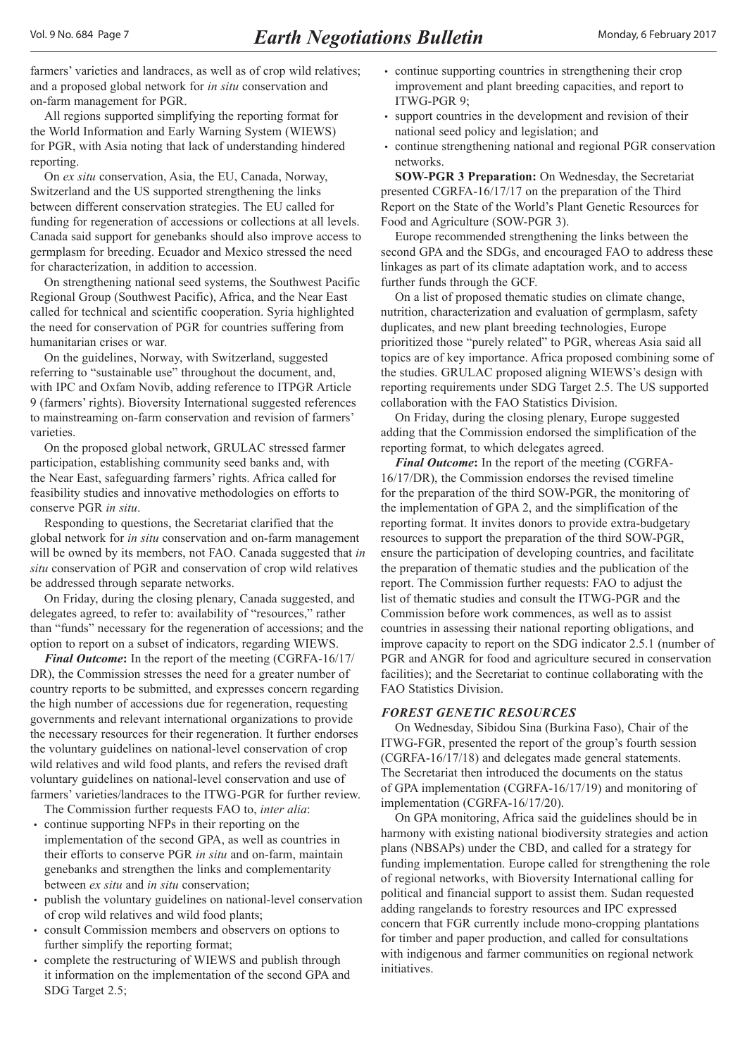<span id="page-6-0"></span>farmers' varieties and landraces, as well as of crop wild relatives; and a proposed global network for *in situ* conservation and on-farm management for PGR.

All regions supported simplifying the reporting format for the World Information and Early Warning System (WIEWS) for PGR, with Asia noting that lack of understanding hindered reporting.

On *ex situ* conservation, Asia, the EU, Canada, Norway, Switzerland and the US supported strengthening the links between different conservation strategies. The EU called for funding for regeneration of accessions or collections at all levels. Canada said support for genebanks should also improve access to germplasm for breeding. Ecuador and Mexico stressed the need for characterization, in addition to accession.

On strengthening national seed systems, the Southwest Pacific Regional Group (Southwest Pacific), Africa, and the Near East called for technical and scientific cooperation. Syria highlighted the need for conservation of PGR for countries suffering from humanitarian crises or war*.*

On the guidelines, Norway, with Switzerland, suggested referring to "sustainable use" throughout the document, and, with IPC and Oxfam Novib, adding reference to ITPGR Article 9 (farmers' rights). Bioversity International suggested references to mainstreaming on-farm conservation and revision of farmers' varieties.

On the proposed global network, GRULAC stressed farmer participation, establishing community seed banks and, with the Near East, safeguarding farmers' rights. Africa called for feasibility studies and innovative methodologies on efforts to conserve PGR *in situ*.

Responding to questions, the Secretariat clarified that the global network for *in situ* conservation and on-farm management will be owned by its members, not FAO. Canada suggested that *in situ* conservation of PGR and conservation of crop wild relatives be addressed through separate networks.

On Friday, during the closing plenary, Canada suggested, and delegates agreed, to refer to: availability of "resources," rather than "funds" necessary for the regeneration of accessions; and the option to report on a subset of indicators, regarding WIEWS.

*Final Outcome***:** In the report of the meeting (CGRFA-16/17/ DR), the Commission stresses the need for a greater number of country reports to be submitted, and expresses concern regarding the high number of accessions due for regeneration, requesting governments and relevant international organizations to provide the necessary resources for their regeneration. It further endorses the voluntary guidelines on national-level conservation of crop wild relatives and wild food plants, and refers the revised draft voluntary guidelines on national-level conservation and use of farmers' varieties/landraces to the ITWG-PGR for further review.

The Commission further requests FAO to, *inter alia*:

- continue supporting NFPs in their reporting on the implementation of the second GPA, as well as countries in their efforts to conserve PGR *in situ* and on-farm, maintain genebanks and strengthen the links and complementarity between *ex situ* and *in situ* conservation;
- publish the voluntary guidelines on national-level conservation of crop wild relatives and wild food plants;
- consult Commission members and observers on options to further simplify the reporting format;
- complete the restructuring of WIEWS and publish through it information on the implementation of the second GPA and SDG Target 2.5;
- continue supporting countries in strengthening their crop improvement and plant breeding capacities, and report to ITWG-PGR 9;
- support countries in the development and revision of their national seed policy and legislation; and
- continue strengthening national and regional PGR conservation networks.

**SOW-PGR 3 Preparation:** On Wednesday, the Secretariat presented CGRFA-16/17/17 on the preparation of the Third Report on the State of the World's Plant Genetic Resources for Food and Agriculture (SOW-PGR 3).

Europe recommended strengthening the links between the second GPA and the SDGs, and encouraged FAO to address these linkages as part of its climate adaptation work, and to access further funds through the GCF.

On a list of proposed thematic studies on climate change, nutrition, characterization and evaluation of germplasm, safety duplicates, and new plant breeding technologies, Europe prioritized those "purely related" to PGR, whereas Asia said all topics are of key importance. Africa proposed combining some of the studies. GRULAC proposed aligning WIEWS's design with reporting requirements under SDG Target 2.5. The US supported collaboration with the FAO Statistics Division.

On Friday, during the closing plenary, Europe suggested adding that the Commission endorsed the simplification of the reporting format, to which delegates agreed.

*Final Outcome***:** In the report of the meeting (CGRFA-16/17/DR), the Commission endorses the revised timeline for the preparation of the third SOW-PGR, the monitoring of the implementation of GPA 2, and the simplification of the reporting format. It invites donors to provide extra-budgetary resources to support the preparation of the third SOW-PGR, ensure the participation of developing countries, and facilitate the preparation of thematic studies and the publication of the report. The Commission further requests: FAO to adjust the list of thematic studies and consult the ITWG-PGR and the Commission before work commences, as well as to assist countries in assessing their national reporting obligations, and improve capacity to report on the SDG indicator 2.5.1 (number of PGR and ANGR for food and agriculture secured in conservation facilities); and the Secretariat to continue collaborating with the FAO Statistics Division.

## *FOREST GENETIC RESOURCES*

On Wednesday, Sibidou Sina (Burkina Faso), Chair of the ITWG-FGR, presented the report of the group's fourth session (CGRFA-16/17/18) and delegates made general statements. The Secretariat then introduced the documents on the status of GPA implementation (CGRFA-16/17/19) and monitoring of implementation (CGRFA-16/17/20).

On GPA monitoring, Africa said the guidelines should be in harmony with existing national biodiversity strategies and action plans (NBSAPs) under the CBD, and called for a strategy for funding implementation. Europe called for strengthening the role of regional networks, with Bioversity International calling for political and financial support to assist them. Sudan requested adding rangelands to forestry resources and IPC expressed concern that FGR currently include mono-cropping plantations for timber and paper production, and called for consultations with indigenous and farmer communities on regional network initiatives.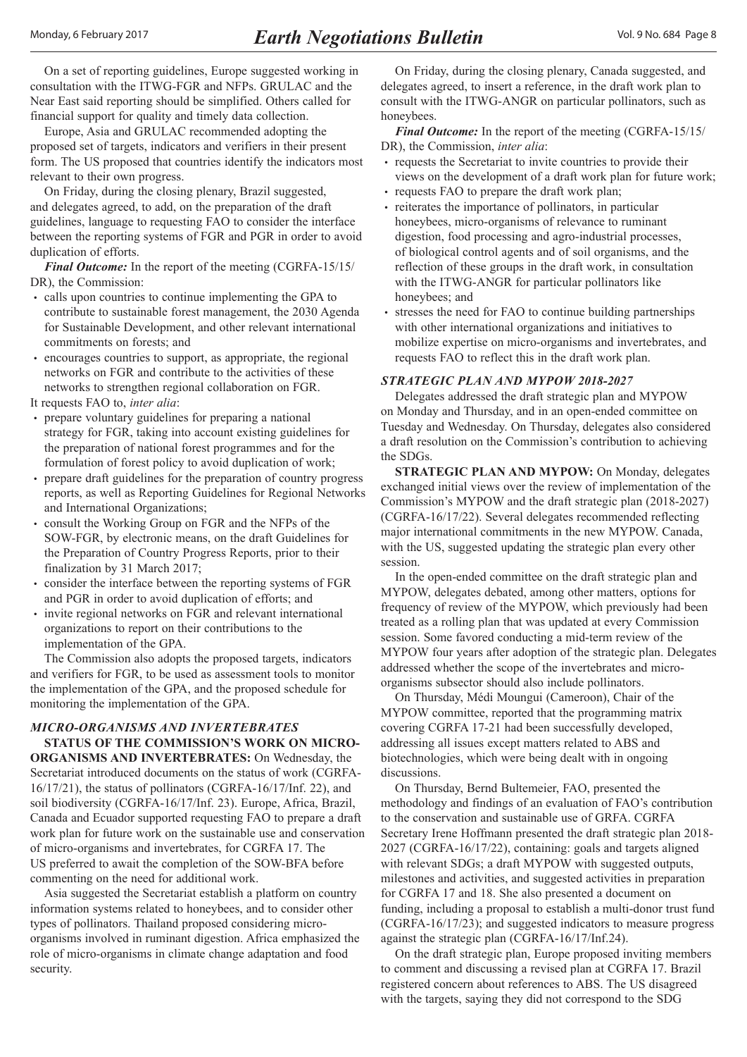<span id="page-7-0"></span>On a set of reporting guidelines, Europe suggested working in consultation with the ITWG-FGR and NFPs. GRULAC and the Near East said reporting should be simplified. Others called for financial support for quality and timely data collection.

Europe, Asia and GRULAC recommended adopting the proposed set of targets, indicators and verifiers in their present form. The US proposed that countries identify the indicators most relevant to their own progress.

On Friday, during the closing plenary, Brazil suggested, and delegates agreed, to add, on the preparation of the draft guidelines, language to requesting FAO to consider the interface between the reporting systems of FGR and PGR in order to avoid duplication of efforts.

*Final Outcome:* In the report of the meeting (CGRFA-15/15/ DR), the Commission:

- calls upon countries to continue implementing the GPA to contribute to sustainable forest management, the 2030 Agenda for Sustainable Development, and other relevant international commitments on forests; and
- encourages countries to support, as appropriate, the regional networks on FGR and contribute to the activities of these networks to strengthen regional collaboration on FGR.

It requests FAO to, *inter alia*:

- prepare voluntary guidelines for preparing a national strategy for FGR, taking into account existing guidelines for the preparation of national forest programmes and for the formulation of forest policy to avoid duplication of work;
- prepare draft guidelines for the preparation of country progress reports, as well as Reporting Guidelines for Regional Networks and International Organizations;
- consult the Working Group on FGR and the NFPs of the SOW-FGR, by electronic means, on the draft Guidelines for the Preparation of Country Progress Reports, prior to their finalization by 31 March 2017;
- consider the interface between the reporting systems of FGR and PGR in order to avoid duplication of efforts; and
- invite regional networks on FGR and relevant international organizations to report on their contributions to the implementation of the GPA.

The Commission also adopts the proposed targets, indicators and verifiers for FGR, to be used as assessment tools to monitor the implementation of the GPA, and the proposed schedule for monitoring the implementation of the GPA.

#### *MICRO-ORGANISMS AND INVERTEBRATES* **STATUS OF THE COMMISSION'S WORK ON MICRO-**

**ORGANISMS AND INVERTEBRATES:** On Wednesday, the Secretariat introduced documents on the status of work (CGRFA-16/17/21), the status of pollinators (CGRFA-16/17/Inf. 22), and soil biodiversity (CGRFA-16/17/Inf. 23). Europe, Africa, Brazil, Canada and Ecuador supported requesting FAO to prepare a draft work plan for future work on the sustainable use and conservation of micro-organisms and invertebrates, for CGRFA 17. The US preferred to await the completion of the SOW-BFA before commenting on the need for additional work.

Asia suggested the Secretariat establish a platform on country information systems related to honeybees, and to consider other types of pollinators. Thailand proposed considering microorganisms involved in ruminant digestion. Africa emphasized the role of micro-organisms in climate change adaptation and food security.

On Friday, during the closing plenary, Canada suggested, and delegates agreed, to insert a reference, in the draft work plan to consult with the ITWG-ANGR on particular pollinators, such as honeybees.

*Final Outcome:* In the report of the meeting (CGRFA-15/15/ DR), the Commission, *inter alia*:

- requests the Secretariat to invite countries to provide their views on the development of a draft work plan for future work;
- requests FAO to prepare the draft work plan;
- reiterates the importance of pollinators, in particular honeybees, micro-organisms of relevance to ruminant digestion, food processing and agro-industrial processes, of biological control agents and of soil organisms, and the reflection of these groups in the draft work, in consultation with the ITWG-ANGR for particular pollinators like honeybees; and
- stresses the need for FAO to continue building partnerships with other international organizations and initiatives to mobilize expertise on micro-organisms and invertebrates, and requests FAO to reflect this in the draft work plan.

#### *STRATEGIC PLAN AND MYPOW 2018-2027*

Delegates addressed the draft strategic plan and MYPOW on Monday and Thursday, and in an open-ended committee on Tuesday and Wednesday. On Thursday, delegates also considered a draft resolution on the Commission's contribution to achieving the SDGs.

**STRATEGIC PLAN AND MYPOW:** On Monday, delegates exchanged initial views over the review of implementation of the Commission's MYPOW and the draft strategic plan (2018-2027) (CGRFA-16/17/22). Several delegates recommended reflecting major international commitments in the new MYPOW. Canada, with the US, suggested updating the strategic plan every other session.

In the open-ended committee on the draft strategic plan and MYPOW, delegates debated, among other matters, options for frequency of review of the MYPOW, which previously had been treated as a rolling plan that was updated at every Commission session. Some favored conducting a mid-term review of the MYPOW four years after adoption of the strategic plan. Delegates addressed whether the scope of the invertebrates and microorganisms subsector should also include pollinators.

On Thursday, Médi Moungui (Cameroon), Chair of the MYPOW committee, reported that the programming matrix covering CGRFA 17-21 had been successfully developed, addressing all issues except matters related to ABS and biotechnologies, which were being dealt with in ongoing discussions.

On Thursday, Bernd Bultemeier, FAO, presented the methodology and findings of an evaluation of FAO's contribution to the conservation and sustainable use of GRFA. CGRFA Secretary Irene Hoffmann presented the draft strategic plan 2018- 2027 (CGRFA-16/17/22), containing: goals and targets aligned with relevant SDGs; a draft MYPOW with suggested outputs, milestones and activities, and suggested activities in preparation for CGRFA 17 and 18. She also presented a document on funding, including a proposal to establish a multi-donor trust fund (CGRFA-16/17/23); and suggested indicators to measure progress against the strategic plan (CGRFA-16/17/Inf.24).

On the draft strategic plan, Europe proposed inviting members to comment and discussing a revised plan at CGRFA 17. Brazil registered concern about references to ABS. The US disagreed with the targets, saying they did not correspond to the SDG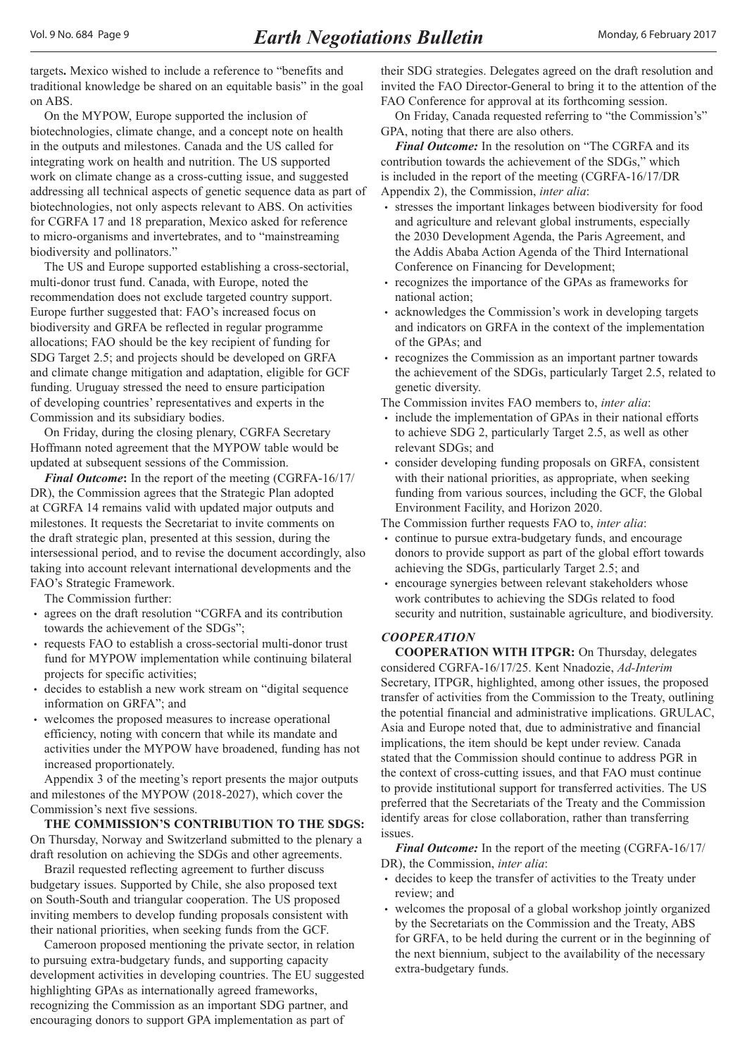<span id="page-8-0"></span>targets**.** Mexico wished to include a reference to "benefits and traditional knowledge be shared on an equitable basis" in the goal on ABS.

On the MYPOW, Europe supported the inclusion of biotechnologies, climate change, and a concept note on health in the outputs and milestones. Canada and the US called for integrating work on health and nutrition. The US supported work on climate change as a cross-cutting issue, and suggested addressing all technical aspects of genetic sequence data as part of biotechnologies, not only aspects relevant to ABS. On activities for CGRFA 17 and 18 preparation, Mexico asked for reference to micro-organisms and invertebrates, and to "mainstreaming biodiversity and pollinators."

The US and Europe supported establishing a cross-sectorial, multi-donor trust fund. Canada, with Europe, noted the recommendation does not exclude targeted country support. Europe further suggested that: FAO's increased focus on biodiversity and GRFA be reflected in regular programme allocations; FAO should be the key recipient of funding for SDG Target 2.5; and projects should be developed on GRFA and climate change mitigation and adaptation, eligible for GCF funding. Uruguay stressed the need to ensure participation of developing countries' representatives and experts in the Commission and its subsidiary bodies.

On Friday, during the closing plenary, CGRFA Secretary Hoffmann noted agreement that the MYPOW table would be updated at subsequent sessions of the Commission.

*Final Outcome***:** In the report of the meeting (CGRFA-16/17/ DR), the Commission agrees that the Strategic Plan adopted at CGRFA 14 remains valid with updated major outputs and milestones. It requests the Secretariat to invite comments on the draft strategic plan, presented at this session, during the intersessional period, and to revise the document accordingly, also taking into account relevant international developments and the FAO's Strategic Framework.

The Commission further:

- agrees on the draft resolution "CGRFA and its contribution towards the achievement of the SDGs";
- requests FAO to establish a cross-sectorial multi-donor trust fund for MYPOW implementation while continuing bilateral projects for specific activities;
- decides to establish a new work stream on "digital sequence information on GRFA"; and
- welcomes the proposed measures to increase operational efficiency, noting with concern that while its mandate and activities under the MYPOW have broadened, funding has not increased proportionately.

Appendix 3 of the meeting's report presents the major outputs and milestones of the MYPOW (2018-2027), which cover the Commission's next five sessions.

**THE COMMISSION'S CONTRIBUTION TO THE SDGS:**  On Thursday, Norway and Switzerland submitted to the plenary a draft resolution on achieving the SDGs and other agreements.

Brazil requested reflecting agreement to further discuss budgetary issues. Supported by Chile, she also proposed text on South-South and triangular cooperation. The US proposed inviting members to develop funding proposals consistent with their national priorities, when seeking funds from the GCF.

Cameroon proposed mentioning the private sector, in relation to pursuing extra-budgetary funds, and supporting capacity development activities in developing countries. The EU suggested highlighting GPAs as internationally agreed frameworks, recognizing the Commission as an important SDG partner, and encouraging donors to support GPA implementation as part of

their SDG strategies. Delegates agreed on the draft resolution and invited the FAO Director-General to bring it to the attention of the FAO Conference for approval at its forthcoming session.

On Friday, Canada requested referring to "the Commission's" GPA, noting that there are also others.

*Final Outcome:* In the resolution on "The CGRFA and its contribution towards the achievement of the SDGs," which is included in the report of the meeting (CGRFA-16/17/DR Appendix 2), the Commission, *inter alia*:

- stresses the important linkages between biodiversity for food and agriculture and relevant global instruments, especially the 2030 Development Agenda, the Paris Agreement, and the Addis Ababa Action Agenda of the Third International Conference on Financing for Development;
- recognizes the importance of the GPAs as frameworks for national action;
- acknowledges the Commission's work in developing targets and indicators on GRFA in the context of the implementation of the GPAs; and
- recognizes the Commission as an important partner towards the achievement of the SDGs, particularly Target 2.5, related to genetic diversity.

The Commission invites FAO members to, *inter alia*:

- include the implementation of GPAs in their national efforts to achieve SDG 2, particularly Target 2.5, as well as other relevant SDGs; and
- consider developing funding proposals on GRFA, consistent with their national priorities, as appropriate, when seeking funding from various sources, including the GCF, the Global Environment Facility, and Horizon 2020.
- The Commission further requests FAO to, *inter alia*:
- continue to pursue extra-budgetary funds, and encourage donors to provide support as part of the global effort towards achieving the SDGs, particularly Target 2.5; and
- encourage synergies between relevant stakeholders whose work contributes to achieving the SDGs related to food security and nutrition, sustainable agriculture, and biodiversity.

#### *COOPERATION*

**COOPERATION WITH ITPGR:** On Thursday, delegates considered CGRFA-16/17/25. Kent Nnadozie, *Ad-Interim* Secretary, ITPGR, highlighted, among other issues, the proposed transfer of activities from the Commission to the Treaty, outlining the potential financial and administrative implications. GRULAC, Asia and Europe noted that, due to administrative and financial implications, the item should be kept under review. Canada stated that the Commission should continue to address PGR in the context of cross-cutting issues, and that FAO must continue to provide institutional support for transferred activities. The US preferred that the Secretariats of the Treaty and the Commission identify areas for close collaboration, rather than transferring issues.

*Final Outcome:* In the report of the meeting (CGRFA-16/17/ DR), the Commission, *inter alia*:

- decides to keep the transfer of activities to the Treaty under review; and
- welcomes the proposal of a global workshop jointly organized by the Secretariats on the Commission and the Treaty, ABS for GRFA, to be held during the current or in the beginning of the next biennium, subject to the availability of the necessary extra-budgetary funds.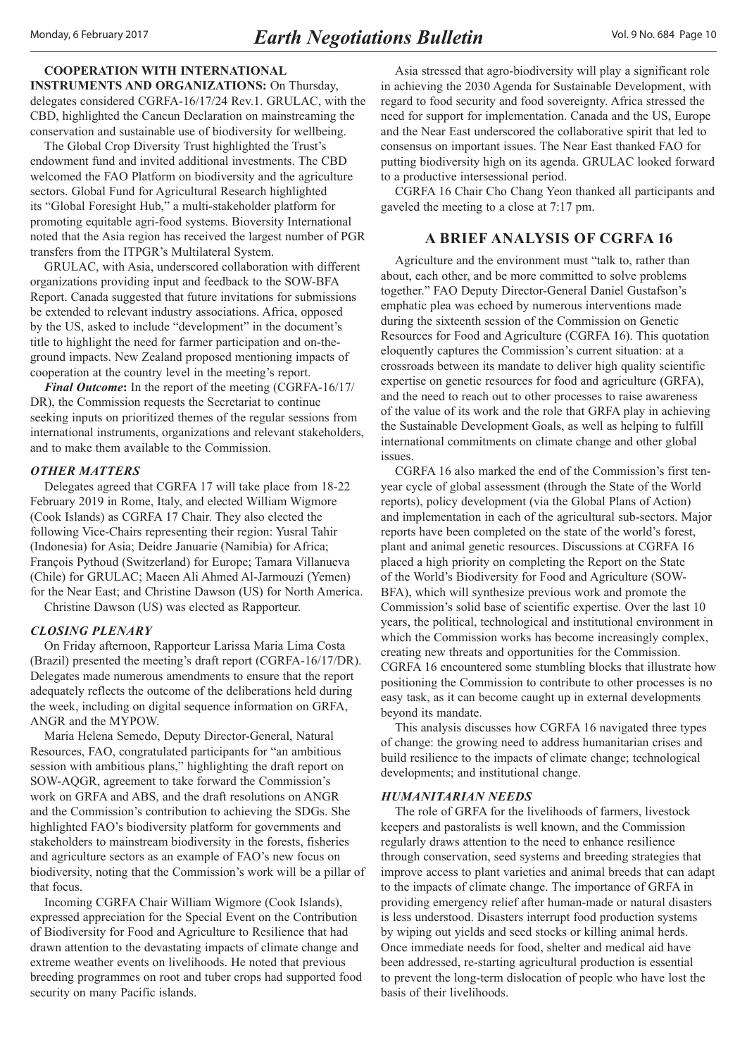<span id="page-9-0"></span>**COOPERATION WITH INTERNATIONAL INSTRUMENTS AND ORGANIZATIONS:** On Thursday, delegates considered CGRFA-16/17/24 Rev.1. GRULAC, with the CBD, highlighted the Cancun Declaration on mainstreaming the conservation and sustainable use of biodiversity for wellbeing.

The Global Crop Diversity Trust highlighted the Trust's endowment fund and invited additional investments. The CBD welcomed the FAO Platform on biodiversity and the agriculture sectors. Global Fund for Agricultural Research highlighted its "Global Foresight Hub," a multi-stakeholder platform for promoting equitable agri-food systems. Bioversity International noted that the Asia region has received the largest number of PGR transfers from the ITPGR's Multilateral System.

GRULAC, with Asia, underscored collaboration with different organizations providing input and feedback to the SOW-BFA Report. Canada suggested that future invitations for submissions be extended to relevant industry associations. Africa, opposed by the US, asked to include "development" in the document's title to highlight the need for farmer participation and on-theground impacts. New Zealand proposed mentioning impacts of cooperation at the country level in the meeting's report.

*Final Outcome***:** In the report of the meeting (CGRFA-16/17/ DR), the Commission requests the Secretariat to continue seeking inputs on prioritized themes of the regular sessions from international instruments, organizations and relevant stakeholders, and to make them available to the Commission.

#### *OTHER MATTERS*

Delegates agreed that CGRFA 17 will take place from 18-22 February 2019 in Rome, Italy, and elected William Wigmore (Cook Islands) as CGRFA 17 Chair. They also elected the following Vice-Chairs representing their region: Yusral Tahir (Indonesia) for Asia; Deidre Januarie (Namibia) for Africa; François Pythoud (Switzerland) for Europe; Tamara Villanueva (Chile) for GRULAC; Maeen Ali Ahmed Al-Jarmouzi (Yemen) for the Near East; and Christine Dawson (US) for North America.

Christine Dawson (US) was elected as Rapporteur.

## *CLOSING PLENARY*

On Friday afternoon, Rapporteur Larissa Maria Lima Costa (Brazil) presented the meeting's draft report (CGRFA-16/17/DR). Delegates made numerous amendments to ensure that the report adequately reflects the outcome of the deliberations held during the week, including on digital sequence information on GRFA, ANGR and the MYPOW.

Maria Helena Semedo, Deputy Director-General, Natural Resources, FAO, congratulated participants for "an ambitious session with ambitious plans," highlighting the draft report on SOW-AQGR, agreement to take forward the Commission's work on GRFA and ABS, and the draft resolutions on ANGR and the Commission's contribution to achieving the SDGs. She highlighted FAO's biodiversity platform for governments and stakeholders to mainstream biodiversity in the forests, fisheries and agriculture sectors as an example of FAO's new focus on biodiversity, noting that the Commission's work will be a pillar of that focus.

Incoming CGRFA Chair William Wigmore (Cook Islands), expressed appreciation for the Special Event on the Contribution of Biodiversity for Food and Agriculture to Resilience that had drawn attention to the devastating impacts of climate change and extreme weather events on livelihoods. He noted that previous breeding programmes on root and tuber crops had supported food security on many Pacific islands.

Asia stressed that agro-biodiversity will play a significant role in achieving the 2030 Agenda for Sustainable Development, with regard to food security and food sovereignty. Africa stressed the need for support for implementation. Canada and the US, Europe and the Near East underscored the collaborative spirit that led to consensus on important issues. The Near East thanked FAO for putting biodiversity high on its agenda. GRULAC looked forward to a productive intersessional period.

CGRFA 16 Chair Cho Chang Yeon thanked all participants and gaveled the meeting to a close at 7:17 pm.

### **A BRIEF ANALYSIS OF CGRFA 16**

Agriculture and the environment must "talk to, rather than about, each other, and be more committed to solve problems together." FAO Deputy Director-General Daniel Gustafson's emphatic plea was echoed by numerous interventions made during the sixteenth session of the Commission on Genetic Resources for Food and Agriculture (CGRFA 16). This quotation eloquently captures the Commission's current situation: at a crossroads between its mandate to deliver high quality scientific expertise on genetic resources for food and agriculture (GRFA), and the need to reach out to other processes to raise awareness of the value of its work and the role that GRFA play in achieving the Sustainable Development Goals, as well as helping to fulfill international commitments on climate change and other global issues.

CGRFA 16 also marked the end of the Commission's first tenyear cycle of global assessment (through the State of the World reports), policy development (via the Global Plans of Action) and implementation in each of the agricultural sub-sectors. Major reports have been completed on the state of the world's forest, plant and animal genetic resources. Discussions at CGRFA 16 placed a high priority on completing the Report on the State of the World's Biodiversity for Food and Agriculture (SOW-BFA), which will synthesize previous work and promote the Commission's solid base of scientific expertise. Over the last 10 years, the political, technological and institutional environment in which the Commission works has become increasingly complex, creating new threats and opportunities for the Commission. CGRFA 16 encountered some stumbling blocks that illustrate how positioning the Commission to contribute to other processes is no easy task, as it can become caught up in external developments beyond its mandate.

This analysis discusses how CGRFA 16 navigated three types of change: the growing need to address humanitarian crises and build resilience to the impacts of climate change; technological developments; and institutional change.

#### *HUMANITARIAN NEEDS*

The role of GRFA for the livelihoods of farmers, livestock keepers and pastoralists is well known, and the Commission regularly draws attention to the need to enhance resilience through conservation, seed systems and breeding strategies that improve access to plant varieties and animal breeds that can adapt to the impacts of climate change. The importance of GRFA in providing emergency relief after human-made or natural disasters is less understood. Disasters interrupt food production systems by wiping out yields and seed stocks or killing animal herds. Once immediate needs for food, shelter and medical aid have been addressed, re-starting agricultural production is essential to prevent the long-term dislocation of people who have lost the basis of their livelihoods.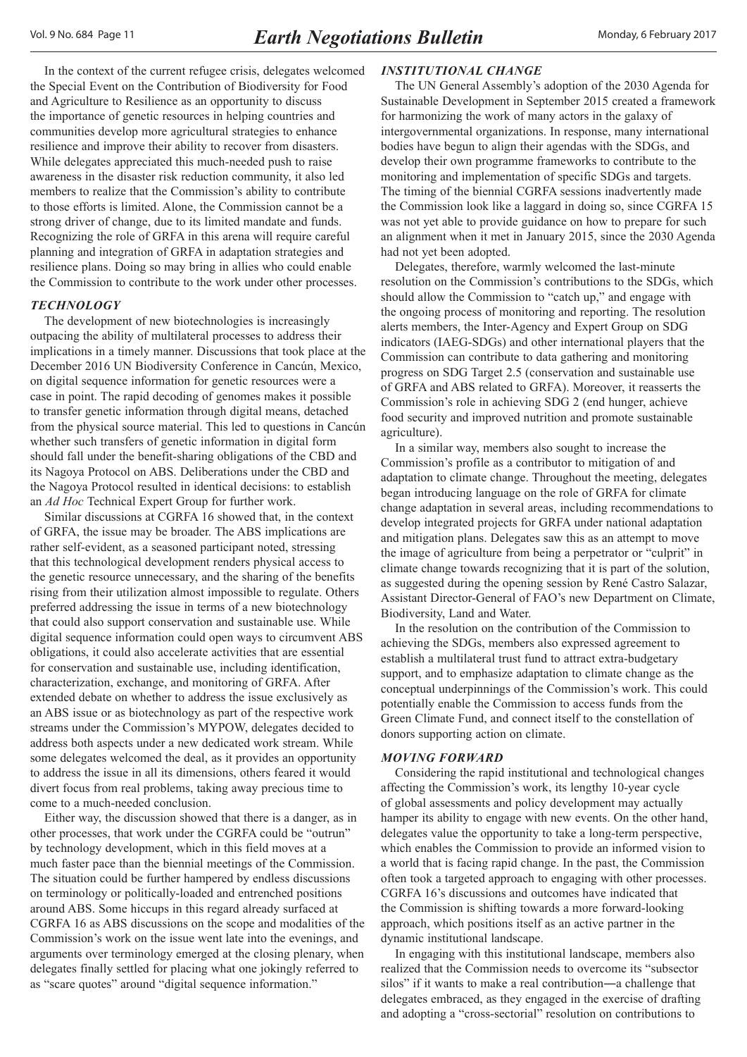In the context of the current refugee crisis, delegates welcomed the Special Event on the Contribution of Biodiversity for Food and Agriculture to Resilience as an opportunity to discuss the importance of genetic resources in helping countries and communities develop more agricultural strategies to enhance resilience and improve their ability to recover from disasters. While delegates appreciated this much-needed push to raise awareness in the disaster risk reduction community, it also led members to realize that the Commission's ability to contribute to those efforts is limited. Alone, the Commission cannot be a strong driver of change, due to its limited mandate and funds. Recognizing the role of GRFA in this arena will require careful planning and integration of GRFA in adaptation strategies and resilience plans. Doing so may bring in allies who could enable the Commission to contribute to the work under other processes.

#### *TECHNOLOGY*

The development of new biotechnologies is increasingly outpacing the ability of multilateral processes to address their implications in a timely manner. Discussions that took place at the December 2016 UN Biodiversity Conference in Cancún, Mexico, on digital sequence information for genetic resources were a case in point. The rapid decoding of genomes makes it possible to transfer genetic information through digital means, detached from the physical source material. This led to questions in Cancún whether such transfers of genetic information in digital form should fall under the benefit-sharing obligations of the CBD and its Nagoya Protocol on ABS. Deliberations under the CBD and the Nagoya Protocol resulted in identical decisions: to establish an *Ad Hoc* Technical Expert Group for further work.

Similar discussions at CGRFA 16 showed that, in the context of GRFA, the issue may be broader. The ABS implications are rather self-evident, as a seasoned participant noted, stressing that this technological development renders physical access to the genetic resource unnecessary, and the sharing of the benefits rising from their utilization almost impossible to regulate. Others preferred addressing the issue in terms of a new biotechnology that could also support conservation and sustainable use. While digital sequence information could open ways to circumvent ABS obligations, it could also accelerate activities that are essential for conservation and sustainable use, including identification, characterization, exchange, and monitoring of GRFA. After extended debate on whether to address the issue exclusively as an ABS issue or as biotechnology as part of the respective work streams under the Commission's MYPOW, delegates decided to address both aspects under a new dedicated work stream. While some delegates welcomed the deal, as it provides an opportunity to address the issue in all its dimensions, others feared it would divert focus from real problems, taking away precious time to come to a much-needed conclusion.

Either way, the discussion showed that there is a danger, as in other processes, that work under the CGRFA could be "outrun" by technology development, which in this field moves at a much faster pace than the biennial meetings of the Commission. The situation could be further hampered by endless discussions on terminology or politically-loaded and entrenched positions around ABS. Some hiccups in this regard already surfaced at CGRFA 16 as ABS discussions on the scope and modalities of the Commission's work on the issue went late into the evenings, and arguments over terminology emerged at the closing plenary, when delegates finally settled for placing what one jokingly referred to as "scare quotes" around "digital sequence information."

## *INSTITUTIONAL CHANGE*

The UN General Assembly's adoption of the 2030 Agenda for Sustainable Development in September 2015 created a framework for harmonizing the work of many actors in the galaxy of intergovernmental organizations. In response, many international bodies have begun to align their agendas with the SDGs, and develop their own programme frameworks to contribute to the monitoring and implementation of specific SDGs and targets. The timing of the biennial CGRFA sessions inadvertently made the Commission look like a laggard in doing so, since CGRFA 15 was not yet able to provide guidance on how to prepare for such an alignment when it met in January 2015, since the 2030 Agenda had not yet been adopted.

Delegates, therefore, warmly welcomed the last-minute resolution on the Commission's contributions to the SDGs, which should allow the Commission to "catch up," and engage with the ongoing process of monitoring and reporting. The resolution alerts members, the Inter-Agency and Expert Group on SDG indicators (IAEG-SDGs) and other international players that the Commission can contribute to data gathering and monitoring progress on SDG Target 2.5 (conservation and sustainable use of GRFA and ABS related to GRFA). Moreover, it reasserts the Commission's role in achieving SDG 2 (end hunger, achieve food security and improved nutrition and promote sustainable agriculture).

In a similar way, members also sought to increase the Commission's profile as a contributor to mitigation of and adaptation to climate change. Throughout the meeting, delegates began introducing language on the role of GRFA for climate change adaptation in several areas, including recommendations to develop integrated projects for GRFA under national adaptation and mitigation plans. Delegates saw this as an attempt to move the image of agriculture from being a perpetrator or "culprit" in climate change towards recognizing that it is part of the solution, as suggested during the opening session by René Castro Salazar, Assistant Director-General of FAO's new Department on Climate, Biodiversity, Land and Water.

In the resolution on the contribution of the Commission to achieving the SDGs, members also expressed agreement to establish a multilateral trust fund to attract extra-budgetary support, and to emphasize adaptation to climate change as the conceptual underpinnings of the Commission's work. This could potentially enable the Commission to access funds from the Green Climate Fund, and connect itself to the constellation of donors supporting action on climate.

#### *MOVING FORWARD*

Considering the rapid institutional and technological changes affecting the Commission's work, its lengthy 10-year cycle of global assessments and policy development may actually hamper its ability to engage with new events. On the other hand, delegates value the opportunity to take a long-term perspective, which enables the Commission to provide an informed vision to a world that is facing rapid change. In the past, the Commission often took a targeted approach to engaging with other processes. CGRFA 16's discussions and outcomes have indicated that the Commission is shifting towards a more forward-looking approach, which positions itself as an active partner in the dynamic institutional landscape.

In engaging with this institutional landscape, members also realized that the Commission needs to overcome its "subsector silos" if it wants to make a real contribution―a challenge that delegates embraced, as they engaged in the exercise of drafting and adopting a "cross-sectorial" resolution on contributions to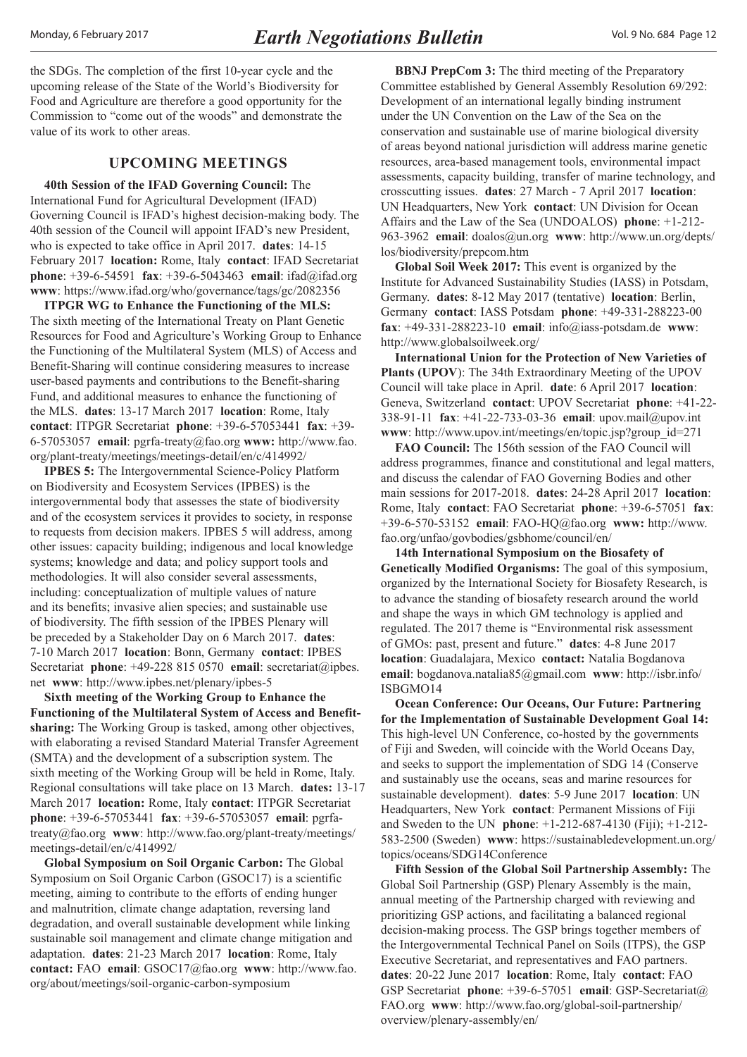<span id="page-11-0"></span>the SDGs. The completion of the first 10-year cycle and the upcoming release of the State of the World's Biodiversity for Food and Agriculture are therefore a good opportunity for the Commission to "come out of the woods" and demonstrate the value of its work to other areas.

## **UPCOMING MEETINGS**

**40th Session of the IFAD Governing Council:** The International Fund for Agricultural Development (IFAD) Governing Council is IFAD's highest decision-making body. The 40th session of the Council will appoint IFAD's new President, who is expected to take office in April 2017. **dates**: 14-15 February 2017 **location:** Rome, Italy **contact**: IFAD Secretariat **phone**: +39-6-54591 **fax**: +39-6-5043463 **email**: ifad@ifad.org **www**: https://www.ifad.org/who/governance/tags/gc/2082356

**ITPGR WG to Enhance the Functioning of the MLS:** The sixth meeting of the International Treaty on Plant Genetic Resources for Food and Agriculture's Working Group to Enhance the Functioning of the Multilateral System (MLS) of Access and Benefit-Sharing will continue considering measures to increase user-based payments and contributions to the Benefit-sharing Fund, and additional measures to enhance the functioning of the MLS. **dates**: 13-17 March 2017 **location**: Rome, Italy **contact**: ITPGR Secretariat **phone**: +39-6-57053441 **fax**: +39- 6-57053057 **email**: pgrfa-treaty@fao.org **www:** [http://www.fao.](http://www.fao.org/plant-treaty/meetings/meetings-detail/en/c/414992/) [org/plant-treaty/meetings/meetings-detail/en/c/414992/](http://www.fao.org/plant-treaty/meetings/meetings-detail/en/c/414992/)

**IPBES 5:** The Intergovernmental Science-Policy Platform on Biodiversity and Ecosystem Services (IPBES) is the intergovernmental body that assesses the state of biodiversity and of the ecosystem services it provides to society, in response to requests from decision makers. IPBES 5 will address, among other issues: capacity building; indigenous and local knowledge systems; knowledge and data; and policy support tools and methodologies. It will also consider several assessments, including: conceptualization of multiple values of nature and its benefits; invasive alien species; and sustainable use of biodiversity. The fifth session of the IPBES Plenary will be preceded by a Stakeholder Day on 6 March 2017. **dates**: 7-10 March 2017 **location**: Bonn, Germany **contact**: IPBES Secretariat **phone**: +49-228 815 0570 **email**: secretariat@ipbes. net **www**: http://www.ipbes.net/plenary/ipbes-5

**Sixth meeting of the Working Group to Enhance the Functioning of the Multilateral System of Access and Benefitsharing:** The Working Group is tasked, among other objectives, with elaborating a revised Standard Material Transfer Agreement (SMTA) and the development of a subscription system. The sixth meeting of the Working Group will be held in Rome, Italy. Regional consultations will take place on 13 March. **dates:** 13-17 March 2017 **location:** Rome, Italy **contact**: ITPGR Secretariat **phone**: +39-6-57053441 **fax**: +39-6-57053057 **email**: pgrfatreaty@fao.org **www**: [http://www.fao.org/plant-treaty/meetings/](http://www.fao.org/plant-treaty/meetings/meetings-detail/en/c/414992/) [meetings-detail/en/c/414992/](http://www.fao.org/plant-treaty/meetings/meetings-detail/en/c/414992/)

**Global Symposium on Soil Organic Carbon:** The Global Symposium on Soil Organic Carbon (GSOC17) is a scientific meeting, aiming to contribute to the efforts of ending hunger and malnutrition, climate change adaptation, reversing land degradation, and overall sustainable development while linking sustainable soil management and climate change mitigation and adaptation. **dates**: 21-23 March 2017 **location**: Rome, Italy **contact:** FAO **email**: GSOC17@fao.org **www**: [http://www.fao.](http://www.fao.org/about/meetings/soil-organic-carbon-symposium) [org/about/meetings/soil-organic-carbon-symposium](http://www.fao.org/about/meetings/soil-organic-carbon-symposium)

**BBNJ PrepCom 3:** The third meeting of the Preparatory Committee established by General Assembly Resolution 69/292: Development of an international legally binding instrument under the UN Convention on the Law of the Sea on the conservation and sustainable use of marine biological diversity of areas beyond national jurisdiction will address marine genetic resources, area-based management tools, environmental impact assessments, capacity building, transfer of marine technology, and crosscutting issues. **dates**: 27 March - 7 April 2017 **location**: UN Headquarters, New York **contact**: UN Division for Ocean Affairs and the Law of the Sea (UNDOALOS) **phone**: +1-212- 963-3962 **email**: doalos@un.org **www**: [http://www.un.org/depts/](http://www.un.org/depts/los/biodiversity/prepcom.htm) [los/biodiversity/prepcom.htm](http://www.un.org/depts/los/biodiversity/prepcom.htm)

**Global Soil Week 2017:** This event is organized by the Institute for Advanced Sustainability Studies (IASS) in Potsdam, Germany. **dates**: 8-12 May 2017 (tentative) **location**: Berlin, Germany **contact**: IASS Potsdam **phone**: +49-331-288223-00 **fax**: +49-331-288223-10 **email**: info@iass-potsdam.de **www**: http://www.globalsoilweek.org/

**International Union for the Protection of New Varieties of Plants (UPOV**): The 34th Extraordinary Meeting of the UPOV Council will take place in April. **date**: 6 April 2017 **location**: Geneva, Switzerland **contact**: UPOV Secretariat **phone**: +41-22- 338-91-11 **fax**: +41-22-733-03-36 **email**: upov.mail@upov.int **www**: http://www.upov.int/meetings/en/topic.jsp?group\_id=271

**FAO Council:** The 156th session of the FAO Council will address programmes, finance and constitutional and legal matters, and discuss the calendar of FAO Governing Bodies and other main sessions for 2017-2018. **dates**: 24-28 April 2017 **location**: Rome, Italy **contact**: FAO Secretariat **phone**: +39-6-57051 **fax**: +39-6-570-53152 **email**: FAO-HQ@fao.org **www:** http://www. [fao.org/unfao/govbodies/gsbhome/council/en/](http://www.fao.org/unfao/govbodies/gsbhome/council/en/) 

**14th International Symposium on the Biosafety of Genetically Modified Organisms:** The goal of this symposium, organized by the International Society for Biosafety Research, is to advance the standing of biosafety research around the world and shape the ways in which GM technology is applied and regulated. The 2017 theme is "Environmental risk assessment of GMOs: past, present and future." **dat**e**s**: 4-8 June 2017 **location**: Guadalajara, Mexico **contact:** Natalia Bogdanova **email**: bogdanova.natalia85@gmail.com **www**: [http://isbr.info/](http://isbr.info/ISBGMO14) [ISBGMO14](http://isbr.info/ISBGMO14)

**Ocean Conference: Our Oceans, Our Future: Partnering for the Implementation of Sustainable Development Goal 14:** This high-level UN Conference, co-hosted by the governments of Fiji and Sweden, will coincide with the World Oceans Day, and seeks to support the implementation of SDG 14 (Conserve and sustainably use the oceans, seas and marine resources for sustainable development). **dates**: 5-9 June 2017 **location**: UN Headquarters, New York **contact**: Permanent Missions of Fiji and Sweden to the UN **phone**: +1-212-687-4130 (Fiji); +1-212- 583-2500 (Sweden) **www**: [https://sustainabledevelopment.un.org/](https://sustainabledevelopment.un.org/topics/oceans/SDG14Conference) [topics/oceans/SDG14Conference](https://sustainabledevelopment.un.org/topics/oceans/SDG14Conference)

**Fifth Session of the Global Soil Partnership Assembly:** The Global Soil Partnership (GSP) Plenary Assembly is the main, annual meeting of the Partnership charged with reviewing and prioritizing GSP actions, and facilitating a balanced regional decision-making process. The GSP brings together members of the Intergovernmental Technical Panel on Soils (ITPS), the GSP Executive Secretariat, and representatives and FAO partners. **dates**: 20-22 June 2017 **location**: Rome, Italy **contact**: FAO GSP Secretariat **phone**: +39-6-57051 **email**: GSP-Secretariat@ FAO.org **www**: [http://www.fao.org/global-soil-partnership/](http://www.fao.org/global-soil-partnership/overview/plenary-assembly/en/) [overview/plenary-assembly/en/](http://www.fao.org/global-soil-partnership/overview/plenary-assembly/en/)